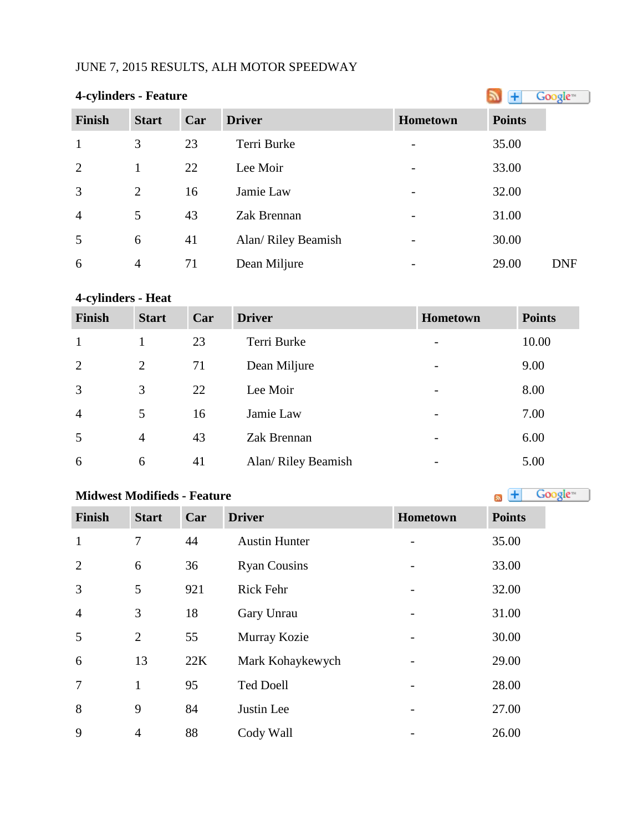## JUNE 7, 2015 RESULTS, ALH MOTOR SPEEDWAY

| <b>4-cylinders - Feature</b> | Google <sup>®</sup> |     |                     |                          |                     |
|------------------------------|---------------------|-----|---------------------|--------------------------|---------------------|
| <b>Finish</b>                | <b>Start</b>        | Car | <b>Driver</b>       | <b>Hometown</b>          | <b>Points</b>       |
| $\mathbf{1}$                 | 3                   | 23  | Terri Burke         |                          | 35.00               |
| 2                            | 1                   | 22  | Lee Moir            | $\overline{\phantom{0}}$ | 33.00               |
| $\overline{3}$               | $\overline{2}$      | 16  | Jamie Law           |                          | 32.00               |
| $\overline{4}$               | 5                   | 43  | Zak Brennan         |                          | 31.00               |
| 5                            | 6                   | 41  | Alan/ Riley Beamish |                          | 30.00               |
| 6                            | $\overline{4}$      | 71  | Dean Miljure        |                          | 29.00<br><b>DNF</b> |

## **4-cylinders - Heat**

| <b>Finish</b>  | <b>Start</b>   | Car | <b>Driver</b>       | Hometown                 | <b>Points</b> |
|----------------|----------------|-----|---------------------|--------------------------|---------------|
| $\mathbf{1}$   |                | 23  | Terri Burke         | $\qquad \qquad$          | 10.00         |
| 2              | $\overline{2}$ | 71  | Dean Miljure        | $\overline{\phantom{a}}$ | 9.00          |
| 3              | 3              | 22  | Lee Moir            | $\overline{\phantom{a}}$ | 8.00          |
| $\overline{4}$ | 5              | 16  | Jamie Law           | $\overline{\phantom{a}}$ | 7.00          |
| 5              | $\overline{4}$ | 43  | Zak Brennan         | $\overline{\phantom{a}}$ | 6.00          |
| 6              | 6              | 41  | Alan/ Riley Beamish | -                        | 5.00          |

# **Midwest Modifieds - Feature**

| <b>Finish</b>  | <b>Start</b>   | Car | <b>Driver</b>        | Hometown | <b>Points</b> |
|----------------|----------------|-----|----------------------|----------|---------------|
| $\mathbf{1}$   | $\tau$         | 44  | <b>Austin Hunter</b> |          | 35.00         |
| 2              | 6              | 36  | <b>Ryan Cousins</b>  |          | 33.00         |
| 3              | 5              | 921 | <b>Rick Fehr</b>     |          | 32.00         |
| $\overline{4}$ | 3              | 18  | Gary Unrau           |          | 31.00         |
| 5              | $\overline{2}$ | 55  | Murray Kozie         |          | 30.00         |
| 6              | 13             | 22K | Mark Kohaykewych     |          | 29.00         |
| $\overline{7}$ | $\mathbf{1}$   | 95  | <b>Ted Doell</b>     |          | 28.00         |
| 8              | 9              | 84  | Justin Lee           |          | 27.00         |
| 9              | $\overline{4}$ | 88  | Cody Wall            |          | 26.00         |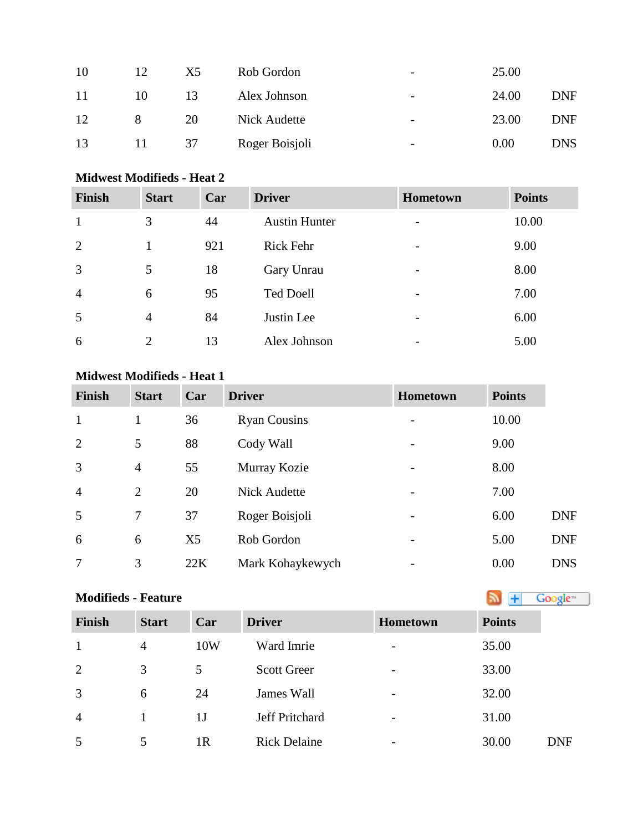| 10 | 12 | X5 | Rob Gordon     | $\overline{\phantom{0}}$ | 25.00 |            |
|----|----|----|----------------|--------------------------|-------|------------|
| 11 | 10 | 13 | Alex Johnson   | $\overline{\phantom{0}}$ | 24.00 | <b>DNF</b> |
| 12 | 8  | 20 | Nick Audette   | $\overline{\phantom{0}}$ | 23.00 | <b>DNF</b> |
| 13 |    | 37 | Roger Boisjoli | -                        | 0.00  | <b>DNS</b> |

## **Midwest Modifieds - Heat 2**

| <b>Finish</b>  | <b>Start</b>   | Car | <b>Driver</b>        | <b>Hometown</b>          | <b>Points</b> |
|----------------|----------------|-----|----------------------|--------------------------|---------------|
| 1              | 3              | 44  | <b>Austin Hunter</b> | $\overline{\phantom{0}}$ | 10.00         |
| 2              | 1              | 921 | Rick Fehr            | -                        | 9.00          |
| 3              | 5              | 18  | Gary Unrau           | -                        | 8.00          |
| $\overline{4}$ | 6              | 95  | <b>Ted Doell</b>     | -                        | 7.00          |
| 5              | $\overline{4}$ | 84  | Justin Lee           | -                        | 6.00          |
| 6              | $\overline{2}$ | 13  | Alex Johnson         | -                        | 5.00          |

## **Midwest Modifieds - Heat 1**

| <b>Finish</b>  | <b>Start</b>   | Car            | <b>Driver</b>       | <b>Hometown</b>          | <b>Points</b> |            |
|----------------|----------------|----------------|---------------------|--------------------------|---------------|------------|
| $\mathbf{1}$   | 1              | 36             | <b>Ryan Cousins</b> |                          | 10.00         |            |
| 2              | 5              | 88             | Cody Wall           |                          | 9.00          |            |
| 3              | $\overline{4}$ | 55             | Murray Kozie        | $\overline{\phantom{0}}$ | 8.00          |            |
| $\overline{4}$ | $\overline{2}$ | 20             | <b>Nick Audette</b> |                          | 7.00          |            |
| 5              | 7              | 37             | Roger Boisjoli      |                          | 6.00          | <b>DNF</b> |
| 6              | 6              | X <sub>5</sub> | Rob Gordon          |                          | 5.00          | <b>DNF</b> |
| 7              | 3              | 22K            | Mark Kohaykewych    |                          | 0.00          | <b>DNS</b> |

## **Modifieds - Feature**

| <b>Points</b> |  |  |
|---------------|--|--|

| <b>Finish</b>  | <b>Start</b>   | Car            | <b>Driver</b>       | <b>Hometown</b>          | <b>Points</b> |            |
|----------------|----------------|----------------|---------------------|--------------------------|---------------|------------|
|                | $\overline{4}$ | 10W            | Ward Imrie          | $\overline{\phantom{a}}$ | 35.00         |            |
| 2              | 3              | 5              | <b>Scott Greer</b>  | $\overline{\phantom{0}}$ | 33.00         |            |
| 3              | 6              | 24             | James Wall          | $\overline{\phantom{a}}$ | 32.00         |            |
| $\overline{4}$ |                | 1J             | Jeff Pritchard      | $\overline{\phantom{a}}$ | 31.00         |            |
| 5              | 5              | 1 <sub>R</sub> | <b>Rick Delaine</b> | $\overline{\phantom{a}}$ | 30.00         | <b>DNF</b> |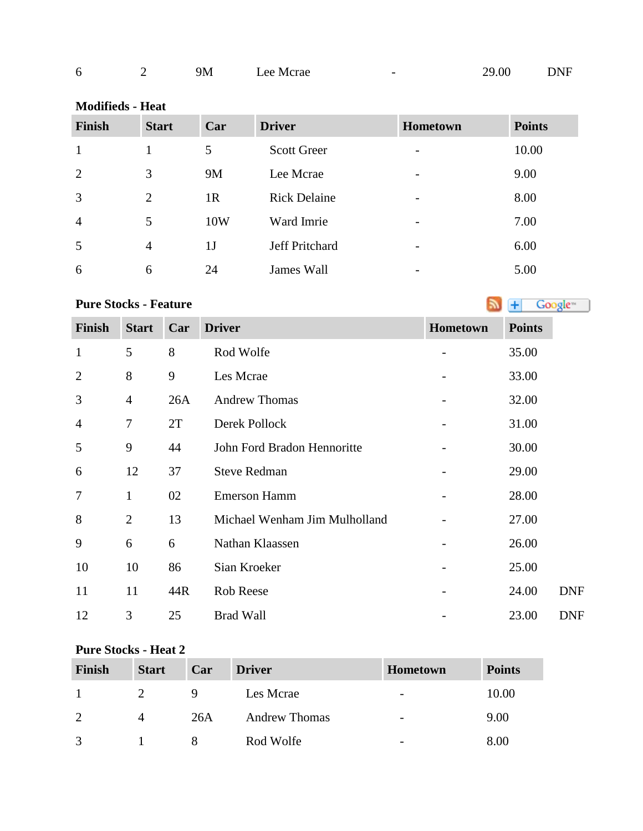| b | 9M | Lee Mcrae<br>___ | $\overline{\phantom{0}}$ | .00<br>29 <sub>1</sub> | <b>DNF</b> |
|---|----|------------------|--------------------------|------------------------|------------|
|   |    |                  |                          |                        |            |

| <b>Modifieds - Heat</b> |                |                |                     |          |               |  |  |
|-------------------------|----------------|----------------|---------------------|----------|---------------|--|--|
| Finish                  | <b>Start</b>   | Car            | <b>Driver</b>       | Hometown | <b>Points</b> |  |  |
| $\mathbf{1}$            | 1              | 5              | <b>Scott Greer</b>  |          | 10.00         |  |  |
| 2                       | 3              | 9M             | Lee Mcrae           |          | 9.00          |  |  |
| 3                       | 2              | 1 <sub>R</sub> | <b>Rick Delaine</b> |          | 8.00          |  |  |
| $\overline{4}$          | 5              | 10W            | Ward Imrie          |          | 7.00          |  |  |
| 5                       | $\overline{4}$ | 1 <sub>J</sub> | Jeff Pritchard      |          | 6.00          |  |  |
| 6                       | 6              | 24             | James Wall          |          | 5.00          |  |  |

**PureStocks - Feature Algebra 2019 Constant 1 Constant 1 Constant 1 Constant 1 Constant 1 Constant 1 Constant 1 Constant 1 Constant 1 Constant 1 Constant 1 Constant 1 Constant 1 Constant 1**

| <b>Finish</b>  | <b>Start</b>   | Car | <b>Driver</b>                 | Hometown | <b>Points</b> |
|----------------|----------------|-----|-------------------------------|----------|---------------|
| $\mathbf{1}$   | 5              | 8   | Rod Wolfe                     |          | 35.00         |
| $\overline{2}$ | 8              | 9   | Les Mcrae                     |          | 33.00         |
| 3              | $\overline{4}$ | 26A | <b>Andrew Thomas</b>          |          | 32.00         |
| $\overline{4}$ | 7              | 2T  | Derek Pollock                 |          | 31.00         |
| 5              | 9              | 44  | John Ford Bradon Hennoritte   |          | 30.00         |
| 6              | 12             | 37  | <b>Steve Redman</b>           |          | 29.00         |
| $\overline{7}$ | $\mathbf{1}$   | 02  | <b>Emerson Hamm</b>           |          | 28.00         |
| 8              | $\overline{2}$ | 13  | Michael Wenham Jim Mulholland |          | 27.00         |
| 9              | 6              | 6   | Nathan Klaassen               |          | 26.00         |
| 10             | 10             | 86  | Sian Kroeker                  |          | 25.00         |
| 11             | 11             | 44R | <b>Rob Reese</b>              |          | 24.00         |
| 12             | 3              | 25  | <b>Brad Wall</b>              |          | 23.00         |

## **Pure Stocks - Heat 2**

| <b>Finish</b> | <b>Start</b> | Car | <b>Driver</b>        | <b>Hometown</b> | <b>Points</b> |
|---------------|--------------|-----|----------------------|-----------------|---------------|
|               |              | 9   | Les Merae            | -               | 10.00         |
| $\mathcal{D}$ | 4            | 26A | <b>Andrew Thomas</b> |                 | 9.00          |
| $\mathcal{R}$ |              |     | Rod Wolfe            | -               | 8.00          |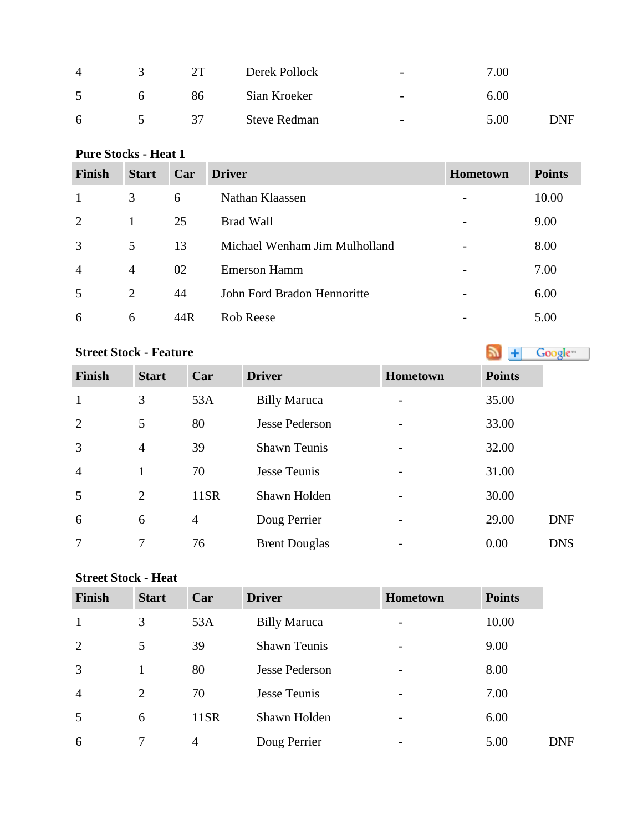| $\overline{A}$ |              | 2T | Derek Pollock       | $\overline{\phantom{0}}$ | 7.00 |     |
|----------------|--------------|----|---------------------|--------------------------|------|-----|
| $\leq$         | <sub>n</sub> | 86 | Sian Kroeker        | $\overline{\phantom{0}}$ | 6.00 |     |
| 6              |              | 37 | <b>Steve Redman</b> | $\overline{\phantom{0}}$ | 5.00 | DNF |

## **Pure Stocks - Heat 1**

| <b>Finish</b>  | <b>Start</b>   | Car | <b>Driver</b>                 | <b>Hometown</b> | <b>Points</b> |
|----------------|----------------|-----|-------------------------------|-----------------|---------------|
| $\mathbf{1}$   | 3              | 6   | Nathan Klaassen               |                 | 10.00         |
| 2              |                | 25  | <b>Brad Wall</b>              |                 | 9.00          |
| 3              | 5              | 13  | Michael Wenham Jim Mulholland |                 | 8.00          |
| $\overline{4}$ | $\overline{4}$ | 02  | <b>Emerson Hamm</b>           |                 | 7.00          |
| .5             | $\overline{2}$ | 44  | John Ford Bradon Hennoritte   |                 | 6.00          |
| 6              | 6              | 44R | <b>Rob Reese</b>              |                 | 5.00          |

## **StreetStock - Feature Street Stock - Feature**

| <b>Finish</b>  | <b>Start</b>   | Car            | <b>Driver</b>         | <b>Hometown</b> | <b>Points</b> |            |
|----------------|----------------|----------------|-----------------------|-----------------|---------------|------------|
| 1              | 3              | 53A            | <b>Billy Maruca</b>   |                 | 35.00         |            |
| $\overline{2}$ | 5              | 80             | <b>Jesse Pederson</b> |                 | 33.00         |            |
| 3              | $\overline{4}$ | 39             | <b>Shawn Teunis</b>   |                 | 32.00         |            |
| $\overline{4}$ | $\mathbf{1}$   | 70             | Jesse Teunis          |                 | 31.00         |            |
| 5              | $\overline{2}$ | 11SR           | Shawn Holden          |                 | 30.00         |            |
| 6              | 6              | $\overline{4}$ | Doug Perrier          | -               | 29.00         | <b>DNF</b> |
| 7              | 7              | 76             | <b>Brent Douglas</b>  |                 | 0.00          | <b>DNS</b> |

### **Street Stock - Heat**

| <b>Finish</b>  | <b>Start</b>   | Car            | <b>Driver</b>         | <b>Hometown</b> | <b>Points</b> |            |
|----------------|----------------|----------------|-----------------------|-----------------|---------------|------------|
| 1              | 3              | 53A            | <b>Billy Maruca</b>   |                 | 10.00         |            |
| $\overline{2}$ | 5              | 39             | <b>Shawn Teunis</b>   |                 | 9.00          |            |
| $\overline{3}$ |                | 80             | <b>Jesse Pederson</b> |                 | 8.00          |            |
| $\overline{4}$ | $\overline{2}$ | 70             | Jesse Teunis          |                 | 7.00          |            |
| 5              | 6              | 11SR           | Shawn Holden          |                 | 6.00          |            |
| 6              |                | $\overline{4}$ | Doug Perrier          |                 | 5.00          | <b>DNF</b> |